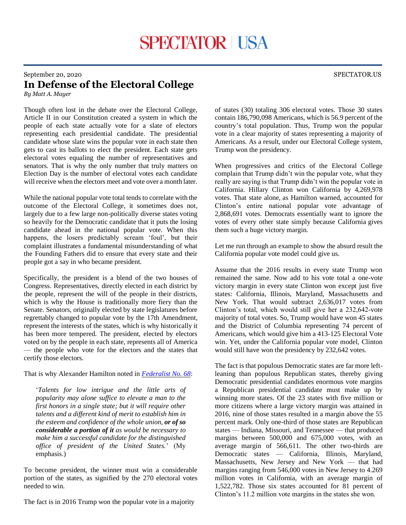## September 20, 2020 SPECTATOR.US

## **In Defense of the Electoral College**

*By Matt A. Mayer*

Though often lost in the debate over the Electoral College, Article II in our Constitution created a system in which the people of each state actually vote for a slate of electors representing each presidential candidate. The presidential candidate whose slate wins the popular vote in each state then gets to cast its ballots to elect the president. Each state gets electoral votes equaling the number of representatives and senators. That is why the only number that truly matters on Election Day is the number of electoral votes each candidate will receive when the electors meet and vote over a month later.

While the national popular vote total tends to correlate with the outcome of the Electoral College, it sometimes does not, largely due to a few large non-politically diverse states voting so heavily for the Democratic candidate that it puts the losing candidate ahead in the national popular vote. When this happens, the losers predictably scream 'foul', but their complaint illustrates a fundamental misunderstanding of what the Founding Fathers did to ensure that every state and their people got a say in who became president.

Specifically, the president is a blend of the two houses of Congress. Representatives, directly elected in each district by the people, represent the will of the people in their districts, which is why the House is traditionally more fiery than the Senate. Senators, originally elected by state legislatures before regrettably changed to popular vote by the 17th Amendment, represent the interests of the states, which is why historically it has been more tempered. The president, elected by electors voted on by the people in each state, represents all of America — the people who vote for the electors and the states that certify those electors.

## That is why Alexander Hamilton noted in *[Federalist No. 68](https://avalon.law.yale.edu/18th_century/fed68.asp)*:

'*Talents for low intrigue and the little arts of popularity may alone suffice to elevate a man to the first honors in a single state; but it will require other talents and a different kind of merit to establish him in the esteem and confidence of the whole union, or of so considerable a portion of it as would be necessary to make him a successful candidate for the distinguished office of president of the United States.*' (My emphasis.)

To become president, the winner must win a considerable portion of the states, as signified by the 270 electoral votes needed to win.

The fact is in 2016 Trump won the popular vote in a majority

of states (30) totaling 306 electoral votes. Those 30 states contain 186,790,098 Americans, which is 56.9 percent of the country's total population. Thus, Trump won the popular vote in a clear majority of states representing a majority of Americans. As a result, under our Electoral College system, Trump won the presidency.

When progressives and critics of the Electoral College complain that Trump didn't win the popular vote, what they really are saying is that Trump didn't win the popular vote in California. Hillary Clinton won California by 4,269,978 votes. That state alone, as Hamilton warned, accounted for Clinton's entire national popular vote advantage of 2,868,691 votes. Democrats essentially want to ignore the votes of every other state simply because California gives them such a huge victory margin.

Let me run through an example to show the absurd result the California popular vote model could give us.

Assume that the 2016 results in every state Trump won remained the same. Now add to his vote total a one-vote victory margin in every state Clinton won except just five states: California, Illinois, Maryland, Massachusetts and New York. That would subtract 2,636,017 votes from Clinton's total, which would still give her a 232,642-vote majority of total votes. So, Trump would have won 45 states and the District of Columbia representing 74 percent of Americans, which would give him a 413-125 Electoral Vote win. Yet, under the California popular vote model, Clinton would still have won the presidency by 232,642 votes.

The fact is that populous Democratic states are far more leftleaning than populous Republican states, thereby giving Democratic presidential candidates enormous vote margins a Republican presidential candidate must make up by winning more states. Of the 23 states with five million or more citizens where a large victory margin was attained in 2016, nine of those states resulted in a margin above the 55 percent mark. Only one-third of those states are Republican states — Indiana, Missouri, and Tennessee — that produced margins between 500,000 and 675,000 votes, with an average margin of 566,611. The other two-thirds are Democratic states — California, Illinois, Maryland, Massachusetts, New Jersey and New York — that had margins ranging from 546,000 votes in New Jersey to 4.269 million votes in California, with an average margin of 1,522,782. Those six states accounted for 81 percent of Clinton's 11.2 million vote margins in the states she won.